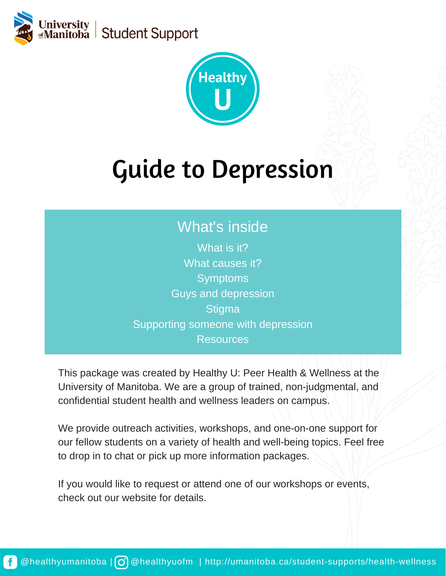



# Guide to Depression

## What's inside

What is it? What causes it? **Symptoms** Guys and depression **Stigma** Supporting someone with depression Resources

This package was created by Healthy U: Peer Health & Wellness at the University of Manitoba. We are a group of trained, non-judgmental, and confidential student health and wellness leaders on campus.

We provide outreach activities, workshops, and one-on-one support for our fellow students on a variety of health and well-being topics. Feel free to drop in to chat or pick up more information packages.

If you would like to request or attend one of our workshops or events, check out our website for details.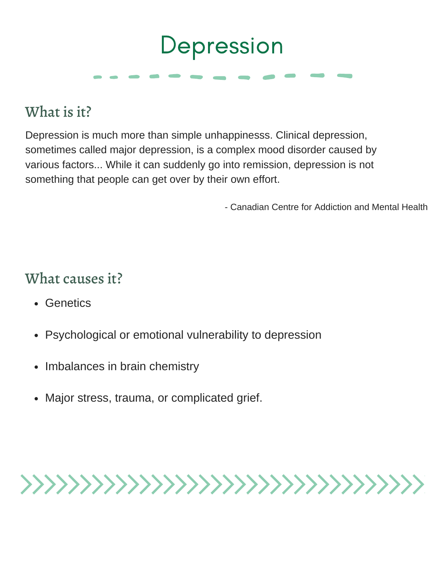# Depression

## What is it?

Depression is much more than simple unhappinesss. Clinical depression, sometimes called major depression, is a complex mood disorder caused by various factors... While it can suddenly go into remission, depression is not something that people can get over by their own effort.

- Canadian Centre for Addiction and Mental Health

### What causes it?

- Genetics
- Psychological or emotional vulnerability to depression
- Imbalances in brain chemistry
- Major stress, trauma, or complicated grief.

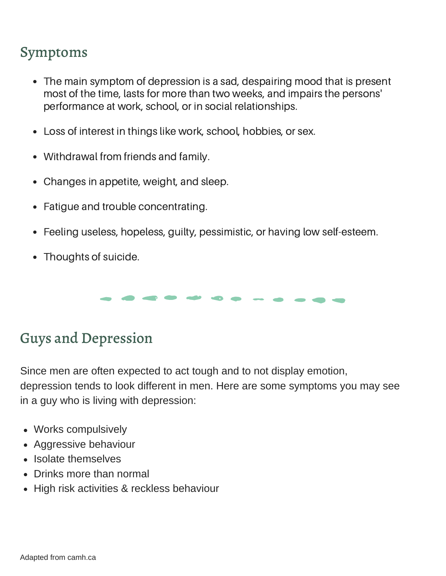### Symptoms

- The main symptom of depression is a sad, despairing mood that is present most of the time, lasts for more than two weeks, and impairs the persons' performance at work, school, or in social relationships.
- Loss of interest in things like work, school, hobbies, or sex.
- Withdrawal from friends and family.
- Changes in appetite, weight, and sleep.
- Fatigue and trouble concentrating.
- Feeling useless, hopeless, guilty, pessimistic, or having low self-esteem.  $\bullet$
- Thoughts of suicide.

## Guys and Depression

Since men are often expected to act tough and to not display emotion, depression tends to look different in men. Here are some symptoms you may see in a guy who is living with depression:

- Works compulsively
- Aggressive behaviour
- Isolate themselves
- Drinks more than normal
- High risk activities & reckless behaviour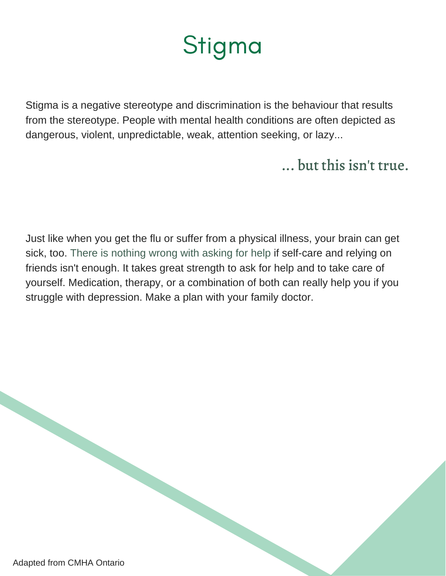# Stigma

Stigma is a negative stereotype and discrimination is the behaviour that results from the stereotype. People with mental health conditions are often depicted as dangerous, violent, unpredictable, weak, attention seeking, or lazy...

## ... but this isn't true.

Just like when you get the flu or suffer from a physical illness, your brain can get sick, too. There is nothing wrong with asking for help if self-care and relying on friends isn't enough. It takes great strength to ask for help and to take care of yourself. Medication, therapy, or a combination of both can really help you if you struggle with depression. Make a plan with your family doctor.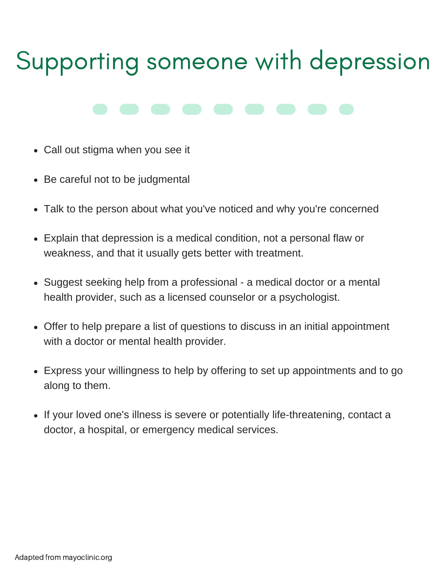# Supporting someone with depression

- Call out stigma when you see it
- Be careful not to be judgmental
- Talk to the person about what you've noticed and why you're concerned
- Explain that depression is a medical condition, not a personal flaw or weakness, and that it usually gets better with treatment.
- Suggest seeking help from a professional a medical doctor or a mental health provider, such as a licensed counselor or a psychologist.
- Offer to help prepare a list of questions to discuss in an initial appointment with a doctor or mental health provider.
- Express your willingness to help by offering to set up appointments and to go along to them.
- If your loved one's illness is severe or potentially life-threatening, contact a doctor, a hospital, or emergency medical services.